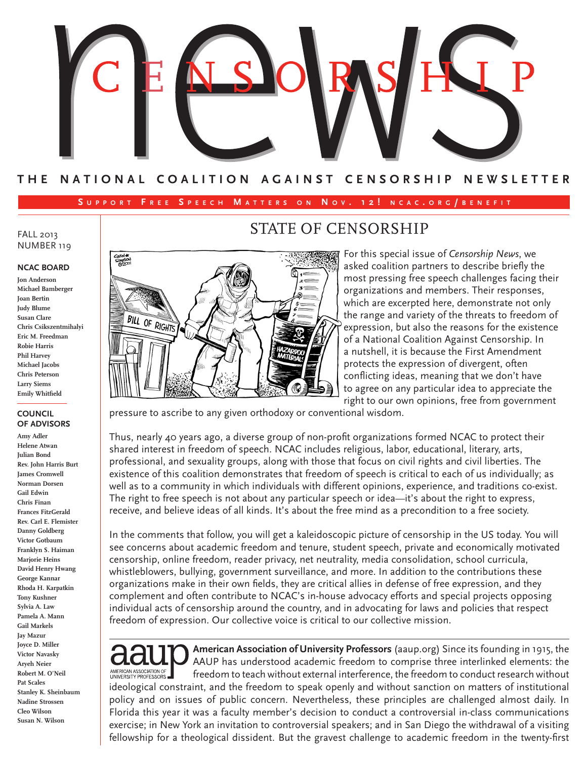

### **T H E N A T I O N A L C O A L I T I O N A G A I N S T C E N S O R S H I P N E W S L E T T E R**

#### **S u p p o r t F r e e S p e e c h M a t t e r <sup>s</sup> o n N o v . 1 2 ! n c a c . o r g / b e n e <sup>f</sup> i t**

1≡  $\overline{\mathbf{3}}$ ۵.

#### FALL 2013 NUMBER 119

#### **NCAC BOARD**

**Jon Anderson Michael Bamberger Joan Bertin Judy Blume Susan Clare Chris Csikszentmihalyi Eric M. Freedman Robie Harris Phil Harvey Michael Jacobs Chris Peterson Larry Siems Emily Whitfield**

**BILL OF RIGHTS** 

#### **COUNCIL OF ADVISORS**

**Amy Adler Helene Atwan Julian Bond Rev. John Harris Burt James Cromwell Norman Dorsen Gail Edwin Chris Finan Frances FitzGerald Rev. Carl E. Flemister Danny Goldberg Victor Gotbaum Franklyn S. Haiman Marjorie Heins David Henry Hwang George Kannar Rhoda H. Karpatkin Tony Kushner Sylvia A. Law Pamela A. Mann Gail Markels Jay Mazur Joyce D. Miller Victor Navasky Aryeh Neier Robert M. O'Neil Pat Scales Stanley K. Sheinbaum Nadine Strossen Cleo Wilson Susan N. Wilson**

## STATE OF CENSORSHIP

For this special issue of *Censorship News*, we asked coalition partners to describe briefly the most pressing free speech challenges facing their organizations and members. Their responses, which are excerpted here, demonstrate not only the range and variety of the threats to freedom of expression, but also the reasons for the existence of a National Coalition Against Censorship. In a nutshell, it is because the First Amendment protects the expression of divergent, often conflicting ideas, meaning that we don't have to agree on any particular idea to appreciate the right to our own opinions, free from government

pressure to ascribe to any given orthodoxy or conventional wisdom.

Thus, nearly 40 years ago, a diverse group of non-profit organizations formed NCAC to protect their shared interest in freedom of speech. NCAC includes religious, labor, educational, literary, arts, professional, and sexuality groups, along with those that focus on civil rights and civil liberties. The existence of this coalition demonstrates that freedom of speech is critical to each of us individually; as well as to a community in which individuals with different opinions, experience, and traditions co-exist. The right to free speech is not about any particular speech or idea—it's about the right to express, receive, and believe ideas of all kinds. It's about the free mind as a precondition to a free society.

In the comments that follow, you will get a kaleidoscopic picture of censorship in the US today. You will see concerns about academic freedom and tenure, student speech, private and economically motivated censorship, online freedom, reader privacy, net neutrality, media consolidation, school curricula, whistleblowers, bullying, government surveillance, and more. In addition to the contributions these organizations make in their own fields, they are critical allies in defense of free expression, and they complement and often contribute to NCAC's in-house advocacy efforts and special projects opposing individual acts of censorship around the country, and in advocating for laws and policies that respect freedom of expression. Our collective voice is critical to our collective mission.

**American Association of University Professors** (aaup.org) Since its founding in 1915, the AAUP has understood academic freedom to comprise three interlinked elements: the AMERICAN ASSOCIATION OF freedom to teach without external interference, the freedom to conduct research without ideological constraint, and the freedom to speak openly and without sanction on matters of institutional policy and on issues of public concern. Nevertheless, these principles are challenged almost daily. In Florida this year it was a faculty member's decision to conduct a controversial in-class communications exercise; in New York an invitation to controversial speakers; and in San Diego the withdrawal of a visiting fellowship for a theological dissident. But the gravest challenge to academic freedom in the twenty-first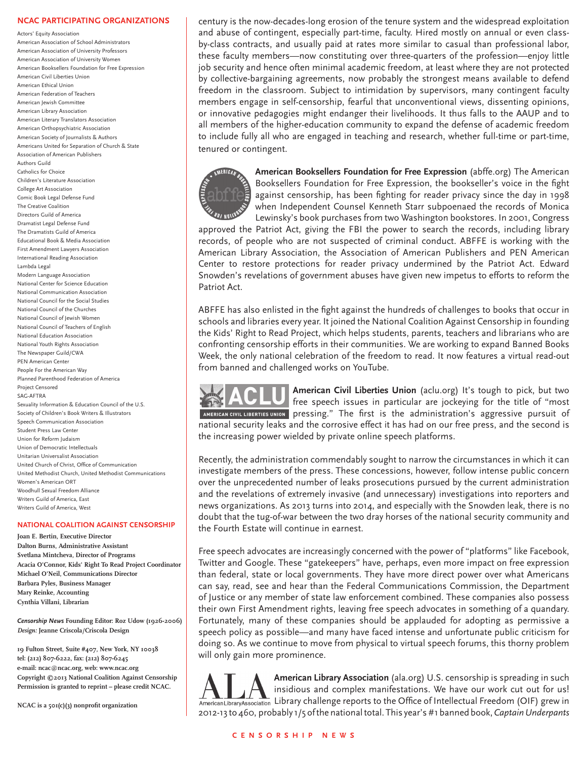#### **NCAC PARTICIPATING ORGANIZATIONS**

Actors' Equity Association American Association of School Administrators American Association of University Professors American Association of University Women American Booksellers Foundation for Free Expression American Civil Liberties Union American Ethical Union American Federation of Teachers American Jewish Committee American Library Association American Literary Translators Association American Orthopsychiatric Association American Society of Journalists & Authors Americans United for Separation of Church & State Association of American Publishers Authors Guild Catholics for Choice Children's Literature Association College Art Association Comic Book Legal Defense Fund The Creative Coalition Directors Guild of America Dramatist Legal Defense Fund The Dramatists Guild of America Educational Book & Media Association First Amendment Lawyers Association International Reading Association Lambda Legal Modern Language Association National Center for Science Education National Communication Association National Council for the Social Studies National Council of the Churches National Council of Jewish Women National Council of Teachers of English National Education Association National Youth Rights Association The Newspaper Guild/CWA PEN American Center People For the American Way Planned Parenthood Federation of America Project Censored SAG-AFTRA Sexuality Information & Education Council of the U.S. Society of Children's Book Writers & Illustrators Speech Communication Association Student Press Law Center Union for Reform Judaism Union of Democratic Intellectuals Unitarian Universalist Association United Church of Christ, Office of Communication United Methodist Church, United Methodist Communications Women's American ORT Woodhull Sexual Freedom Alliance Writers Guild of America, East Writers Guild of America, West

#### **NATIONAL COALITION AGAINST CENSORSHIP**

**Joan E. Bertin, Executive Director Dalton Burns, Administrative Assistant Svetlana Mintcheva, Director of Programs Acacia O'Connor, Kids' Right To Read Project Coordinator Michael O'Neil, Communications Director Barbara Pyles, Business Manager Mary Reinke, Accounting Cynthia Villani, Librarian**

*Censorship News* **Founding Editor: Roz Udow (1926-2006)** *Design:* **Jeanne Criscola/Criscola Design**

**19 Fulton Street, Suite #407, New York, NY 10038 tel: (212) 807-6222, fax: (212) 807-6245 e-mail: ncac@ncac.org, web: www.ncac.org Copyright ©2013 National Coalition Against Censorship Permission is granted to reprint – please credit NCAC.**

**NCAC is a 501(c)(3) nonprofit organization**

century is the now-decades-long erosion of the tenure system and the widespread exploitation and abuse of contingent, especially part-time, faculty. Hired mostly on annual or even classby-class contracts, and usually paid at rates more similar to casual than professional labor, these faculty members—now constituting over three-quarters of the profession—enjoy little job security and hence often minimal academic freedom, at least where they are not protected by collective-bargaining agreements, now probably the strongest means available to defend freedom in the classroom. Subject to intimidation by supervisors, many contingent faculty members engage in self-censorship, fearful that unconventional views, dissenting opinions, or innovative pedagogies might endanger their livelihoods. It thus falls to the AAUP and to all members of the higher-education community to expand the defense of academic freedom to include fully all who are engaged in teaching and research, whether full-time or part-time, tenured or contingent.



**American Booksellers Foundation for Free Expression** (abffe.org) The American Booksellers Foundation for Free Expression, the bookseller's voice in the fight against censorship, has been fighting for reader privacy since the day in 1998 when Independent Counsel Kenneth Starr subpoenaed the records of Monica Lewinsky's book purchases from two Washington bookstores. In 2001, Congress

approved the Patriot Act, giving the FBI the power to search the records, including library records, of people who are not suspected of criminal conduct. ABFFE is working with the American Library Association, the Association of American Publishers and PEN American Center to restore protections for reader privacy undermined by the Patriot Act. Edward Snowden's revelations of government abuses have given new impetus to efforts to reform the Patriot Act.

ABFFE has also enlisted in the fight against the hundreds of challenges to books that occur in schools and libraries every year. It joined the National Coalition Against Censorship in founding the Kids' Right to Read Project, which helps students, parents, teachers and librarians who are confronting censorship efforts in their communities. We are working to expand Banned Books Week, the only national celebration of the freedom to read. It now features a virtual read-out from banned and challenged works on YouTube.



**American Civil Liberties Union** (aclu.org) It's tough to pick, but two free speech issues in particular are jockeying for the title of "most AMERICAN CIVIL LIBERTIES UNION pressing." The first is the administration's aggressive pursuit of national security leaks and the corrosive effect it has had on our free press, and the second is the increasing power wielded by private online speech platforms.

Recently, the administration commendably sought to narrow the circumstances in which it can investigate members of the press. These concessions, however, follow intense public concern over the unprecedented number of leaks prosecutions pursued by the current administration and the revelations of extremely invasive (and unnecessary) investigations into reporters and news organizations. As 2013 turns into 2014, and especially with the Snowden leak, there is no doubt that the tug-of-war between the two dray horses of the national security community and the Fourth Estate will continue in earnest.

Free speech advocates are increasingly concerned with the power of "platforms" like Facebook, Twitter and Google. These "gatekeepers" have, perhaps, even more impact on free expression than federal, state or local governments. They have more direct power over what Americans can say, read, see and hear than the Federal Communications Commission, the Department of Justice or any member of state law enforcement combined. These companies also possess their own First Amendment rights, leaving free speech advocates in something of a quandary. Fortunately, many of these companies should be applauded for adopting as permissive a speech policy as possible—and many have faced intense and unfortunate public criticism for doing so. As we continue to move from physical to virtual speech forums, this thorny problem will only gain more prominence.

**American Library Association** (ala.org) U.S. censorship is spreading in such insidious and complex manifestations. We have our work cut out for us! Library challenge reports to the Office of Intellectual Freedom (OIF) grew in 2012-13 to 460, probably 1/5 of the national total. This year's #1 banned book, *Captain Underpants*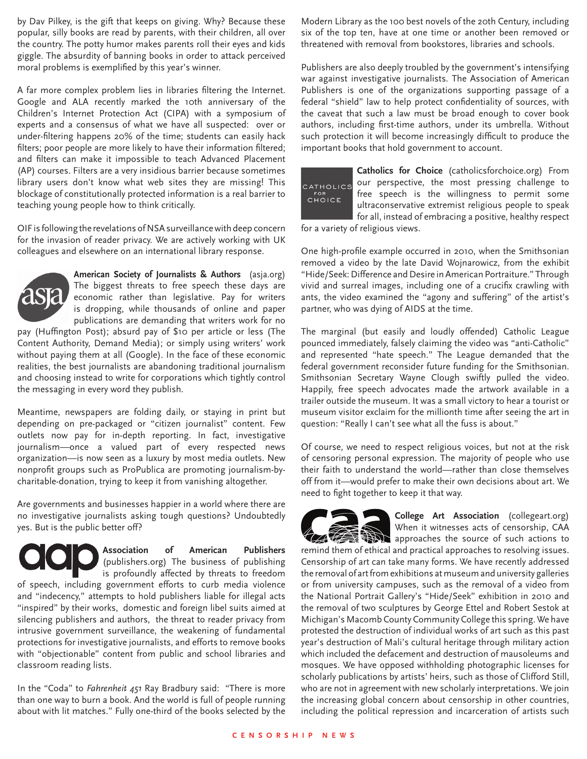by Dav Pilkey, is the gift that keeps on giving. Why? Because these popular, silly books are read by parents, with their children, all over the country. The potty humor makes parents roll their eyes and kids giggle. The absurdity of banning books in order to attack perceived moral problems is exemplified by this year's winner.

A far more complex problem lies in libraries filtering the Internet. Google and ALA recently marked the 10th anniversary of the Children's Internet Protection Act (CIPA) with a symposium of experts and a consensus of what we have all suspected: over or under-filtering happens 20% of the time; students can easily hack filters; poor people are more likely to have their information filtered; and filters can make it impossible to teach Advanced Placement (AP) courses. Filters are a very insidious barrier because sometimes library users don't know what web sites they are missing! This blockage of constitutionally protected information is a real barrier to teaching young people how to think critically.

OIF is following the revelations of NSA surveillance with deep concern for the invasion of reader privacy. We are actively working with UK colleagues and elsewhere on an international library response.



**American Society of Journalists & Authors** (asja.org) The biggest threats to free speech these days are economic rather than legislative. Pay for writers is dropping, while thousands of online and paper publications are demanding that writers work for no

pay (Huffington Post); absurd pay of \$10 per article or less (The Content Authority, Demand Media); or simply using writers' work without paying them at all (Google). In the face of these economic realities, the best journalists are abandoning traditional journalism and choosing instead to write for corporations which tightly control the messaging in every word they publish.

Meantime, newspapers are folding daily, or staying in print but depending on pre-packaged or "citizen journalist" content. Few outlets now pay for in-depth reporting. In fact, investigative journalism—once a valued part of every respected news organization—is now seen as a luxury by most media outlets. New nonprofit groups such as ProPublica are promoting journalism-bycharitable-donation, trying to keep it from vanishing altogether.

Are governments and businesses happier in a world where there are no investigative journalists asking tough questions? Undoubtedly yes. But is the public better off?



In the "Coda" to *Fahrenheit 451* Ray Bradbury said: "There is more than one way to burn a book. And the world is full of people running about with lit matches." Fully one-third of the books selected by the

Modern Library as the 100 best novels of the 20th Century, including six of the top ten, have at one time or another been removed or threatened with removal from bookstores, libraries and schools.

Publishers are also deeply troubled by the government's intensifying war against investigative journalists. The Association of American Publishers is one of the organizations supporting passage of a federal "shield" law to help protect confidentiality of sources, with the caveat that such a law must be broad enough to cover book authors, including first-time authors, under its umbrella. Without such protection it will become increasingly difficult to produce the important books that hold government to account.



**Catholics for Choice** (catholicsforchoice.org) From our perspective, the most pressing challenge to free speech is the willingness to permit some ultraconservative extremist religious people to speak for all, instead of embracing a positive, healthy respect

for a variety of religious views.

One high-profile example occurred in 2010, when the Smithsonian removed a video by the late David Wojnarowicz, from the exhibit "Hide/Seek: Difference and Desire in American Portraiture." Through vivid and surreal images, including one of a crucifix crawling with ants, the video examined the "agony and suffering" of the artist's partner, who was dying of AIDS at the time.

The marginal (but easily and loudly offended) Catholic League pounced immediately, falsely claiming the video was "anti-Catholic" and represented "hate speech." The League demanded that the federal government reconsider future funding for the Smithsonian. Smithsonian Secretary Wayne Clough swiftly pulled the video. Happily, free speech advocates made the artwork available in a trailer outside the museum. It was a small victory to hear a tourist or museum visitor exclaim for the millionth time after seeing the art in question: "Really I can't see what all the fuss is about."

Of course, we need to respect religious voices, but not at the risk of censoring personal expression. The majority of people who use their faith to understand the world—rather than close themselves off from it—would prefer to make their own decisions about art. We need to fight together to keep it that way.



**College Art Association** (collegeart.org) When it witnesses acts of censorship, CAA approaches the source of such actions to

remind them of ethical and practical approaches to resolving issues. Censorship of art can take many forms. We have recently addressed the removal of art from exhibitions at museum and university galleries or from university campuses, such as the removal of a video from the National Portrait Gallery's "Hide/Seek" exhibition in 2010 and the removal of two sculptures by George Ettel and Robert Sestok at Michigan's Macomb County Community College this spring. We have protested the destruction of individual works of art such as this past year's destruction of Mali's cultural heritage through military action which included the defacement and destruction of mausoleums and mosques. We have opposed withholding photographic licenses for scholarly publications by artists' heirs, such as those of Clifford Still, who are not in agreement with new scholarly interpretations. We join the increasing global concern about censorship in other countries, including the political repression and incarceration of artists such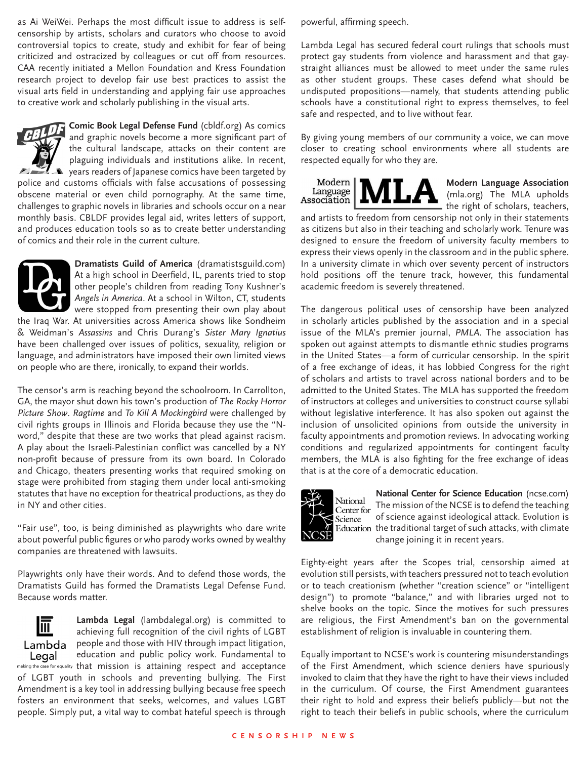as Ai WeiWei. Perhaps the most difficult issue to address is selfcensorship by artists, scholars and curators who choose to avoid controversial topics to create, study and exhibit for fear of being criticized and ostracized by colleagues or cut off from resources. CAA recently initiated a Mellon Foundation and Kress Foundation research project to develop fair use best practices to assist the visual arts field in understanding and applying fair use approaches to creative work and scholarly publishing in the visual arts.

**Comic Book Legal Defense Fund** (cbldf.org) As comics and graphic novels become a more significant part of the cultural landscape, attacks on their content are plaguing individuals and institutions alike. In recent, years readers of Japanese comics have been targeted by police and customs officials with false accusations of possessing obscene material or even child pornography. At the same time, challenges to graphic novels in libraries and schools occur on a near monthly basis. CBLDF provides legal aid, writes letters of support, and produces education tools so as to create better understanding of comics and their role in the current culture.



**Dramatists Guild of America** (dramatistsguild.com) At a high school in Deerfield, IL, parents tried to stop other people's children from reading Tony Kushner's *Angels in America*. At a school in Wilton, CT, students were stopped from presenting their own play about

the Iraq War. At universities across America shows like Sondheim & Weidman's *Assassins* and Chris Durang's *Sister Mary Ignatius* have been challenged over issues of politics, sexuality, religion or language, and administrators have imposed their own limited views on people who are there, ironically, to expand their worlds.

The censor's arm is reaching beyond the schoolroom. In Carrollton, GA, the mayor shut down his town's production of *The Rocky Horror Picture Show*. *Ragtime* and *To Kill A Mockingbird* were challenged by civil rights groups in Illinois and Florida because they use the "Nword," despite that these are two works that plead against racism. A play about the Israeli-Palestinian conflict was cancelled by a NY non-profit because of pressure from its own board. In Colorado and Chicago, theaters presenting works that required smoking on stage were prohibited from staging them under local anti-smoking statutes that have no exception for theatrical productions, as they do in NY and other cities.

"Fair use", too, is being diminished as playwrights who dare write about powerful public figures or who parody works owned by wealthy companies are threatened with lawsuits.

Playwrights only have their words. And to defend those words, the Dramatists Guild has formed the Dramatists Legal Defense Fund. Because words matter.



**Lambda Legal** (lambdalegal.org) is committed to achieving full recognition of the civil rights of LGBT people and those with HIV through impact litigation, education and public policy work. Fundamental to making the case for equality that mission is attaining respect and acceptance

of LGBT youth in schools and preventing bullying. The First Amendment is a key tool in addressing bullying because free speech fosters an environment that seeks, welcomes, and values LGBT people. Simply put, a vital way to combat hateful speech is through

powerful, affirming speech.

Lambda Legal has secured federal court rulings that schools must protect gay students from violence and harassment and that gaystraight alliances must be allowed to meet under the same rules as other student groups. These cases defend what should be undisputed propositions—namely, that students attending public schools have a constitutional right to express themselves, to feel safe and respected, and to live without fear.

By giving young members of our community a voice, we can move closer to creating school environments where all students are respected equally for who they are.



**Modern Language Association** (mla.org) The MLA upholds the right of scholars, teachers,

and artists to freedom from censorship not only in their statements as citizens but also in their teaching and scholarly work. Tenure was designed to ensure the freedom of university faculty members to express their views openly in the classroom and in the public sphere. In a university climate in which over seventy percent of instructors hold positions off the tenure track, however, this fundamental academic freedom is severely threatened.

The dangerous political uses of censorship have been analyzed in scholarly articles published by the association and in a special issue of the MLA's premier journal, *PMLA*. The association has spoken out against attempts to dismantle ethnic studies programs in the United States—a form of curricular censorship. In the spirit of a free exchange of ideas, it has lobbied Congress for the right of scholars and artists to travel across national borders and to be admitted to the United States. The MLA has supported the freedom of instructors at colleges and universities to construct course syllabi without legislative interference. It has also spoken out against the inclusion of unsolicited opinions from outside the university in faculty appointments and promotion reviews. In advocating working conditions and regularized appointments for contingent faculty members, the MLA is also fighting for the free exchange of ideas that is at the core of a democratic education.



**National Center for Science Education** (ncse.com) The mission of the NCSE is to defend the teaching of science against ideological attack. Evolution is Education the traditional target of such attacks, with climate change joining it in recent years.

Eighty-eight years after the Scopes trial, censorship aimed at evolution still persists, with teachers pressured not to teach evolution or to teach creationism (whether "creation science" or "intelligent design") to promote "balance," and with libraries urged not to shelve books on the topic. Since the motives for such pressures are religious, the First Amendment's ban on the governmental establishment of religion is invaluable in countering them.

Equally important to NCSE's work is countering misunderstandings of the First Amendment, which science deniers have spuriously invoked to claim that they have the right to have their views included in the curriculum. Of course, the First Amendment guarantees their right to hold and express their beliefs publicly—but not the right to teach their beliefs in public schools, where the curriculum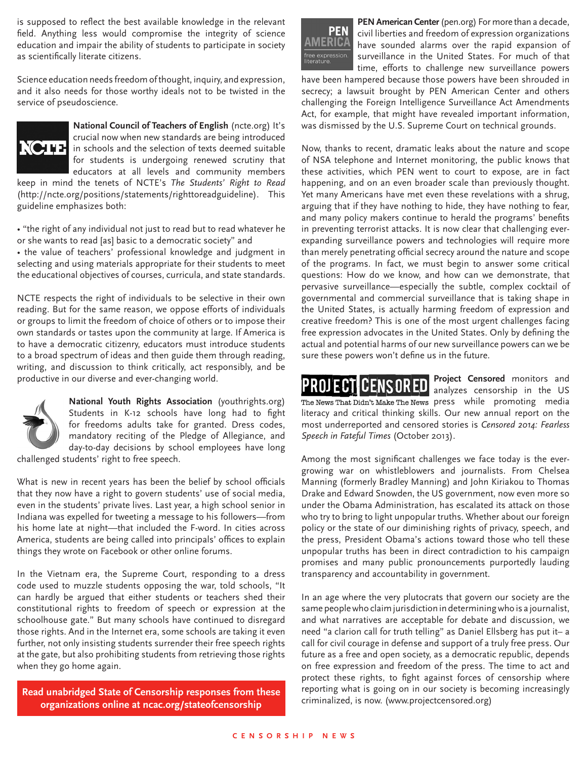is supposed to reflect the best available knowledge in the relevant field. Anything less would compromise the integrity of science education and impair the ability of students to participate in society as scientifically literate citizens.

Science education needs freedom of thought, inquiry, and expression, and it also needs for those worthy ideals not to be twisted in the service of pseudoscience.



**National Council of Teachers of English** (ncte.org) It's crucial now when new standards are being introduced  $\sum_{i=1}^{n}$   $\prod_{i=1}^{n}$  in schools and the selection of texts deemed suitable for students is undergoing renewed scrutiny that educators at all levels and community members

keep in mind the tenets of NCTE's *The Students' Right to Read* (http://ncte.org/positions/statements/righttoreadguideline). This guideline emphasizes both:

• "the right of any individual not just to read but to read whatever he or she wants to read [as] basic to a democratic society" and

• the value of teachers' professional knowledge and judgment in selecting and using materials appropriate for their students to meet the educational objectives of courses, curricula, and state standards.

NCTE respects the right of individuals to be selective in their own reading. But for the same reason, we oppose efforts of individuals or groups to limit the freedom of choice of others or to impose their own standards or tastes upon the community at large. If America is to have a democratic citizenry, educators must introduce students to a broad spectrum of ideas and then guide them through reading, writing, and discussion to think critically, act responsibly, and be productive in our diverse and ever-changing world.



**National Youth Rights Association** (youthrights.org) Students in K-12 schools have long had to fight for freedoms adults take for granted. Dress codes, mandatory reciting of the Pledge of Allegiance, and day-to-day decisions by school employees have long

challenged students' right to free speech.

What is new in recent years has been the belief by school officials that they now have a right to govern students' use of social media, even in the students' private lives. Last year, a high school senior in Indiana was expelled for tweeting a message to his followers—from his home late at night—that included the F-word. In cities across America, students are being called into principals' offices to explain things they wrote on Facebook or other online forums.

In the Vietnam era, the Supreme Court, responding to a dress code used to muzzle students opposing the war, told schools, "It can hardly be argued that either students or teachers shed their constitutional rights to freedom of speech or expression at the schoolhouse gate." But many schools have continued to disregard those rights. And in the Internet era, some schools are taking it even further, not only insisting students surrender their free speech rights at the gate, but also prohibiting students from retrieving those rights when they go home again.

**Read unabridged State of Censorship responses from these Read unabridged State of Censorship responses from these** *Read unabridged State of Censorship responses from these criminalized, is now. (www.projectcensored* **organizations online at ncac.org/stateofcensorship**



**PEN American Center** (pen.org) For more than a decade, civil liberties and freedom of expression organizations have sounded alarms over the rapid expansion of surveillance in the United States. For much of that time, efforts to challenge new surveillance powers

have been hampered because those powers have been shrouded in secrecy; a lawsuit brought by PEN American Center and others challenging the Foreign Intelligence Surveillance Act Amendments Act, for example, that might have revealed important information, was dismissed by the U.S. Supreme Court on technical grounds.

Now, thanks to recent, dramatic leaks about the nature and scope of NSA telephone and Internet monitoring, the public knows that these activities, which PEN went to court to expose, are in fact happening, and on an even broader scale than previously thought. Yet many Americans have met even these revelations with a shrug, arguing that if they have nothing to hide, they have nothing to fear, and many policy makers continue to herald the programs' benefits in preventing terrorist attacks. It is now clear that challenging everexpanding surveillance powers and technologies will require more than merely penetrating official secrecy around the nature and scope of the programs. In fact, we must begin to answer some critical questions: How do we know, and how can we demonstrate, that pervasive surveillance—especially the subtle, complex cocktail of governmental and commercial surveillance that is taking shape in the United States, is actually harming freedom of expression and creative freedom? This is one of the most urgent challenges facing free expression advocates in the United States. Only by defining the actual and potential harms of our new surveillance powers can we be sure these powers won't define us in the future.

**Project Censored** monitors and PROJECTI CENSORED analyzes censorship in the US The News That Didn't Make The News press while promoting media literacy and critical thinking skills. Our new annual report on the most underreported and censored stories is *Censored 2014: Fearless Speech in Fateful Times* (October 2013).

Among the most significant challenges we face today is the evergrowing war on whistleblowers and journalists. From Chelsea Manning (formerly Bradley Manning) and John Kiriakou to Thomas Drake and Edward Snowden, the US government, now even more so under the Obama Administration, has escalated its attack on those who try to bring to light unpopular truths. Whether about our foreign policy or the state of our diminishing rights of privacy, speech, and the press, President Obama's actions toward those who tell these unpopular truths has been in direct contradiction to his campaign promises and many public pronouncements purportedly lauding transparency and accountability in government.

In an age where the very plutocrats that govern our society are the same people who claim jurisdiction in determining who is a journalist, and what narratives are acceptable for debate and discussion, we need "a clarion call for truth telling" as Daniel Ellsberg has put it– a call for civil courage in defense and support of a truly free press. Our future as a free and open society, as a democratic republic, depends on free expression and freedom of the press. The time to act and protect these rights, to fight against forces of censorship where reporting what is going on in our society is becoming increasingly